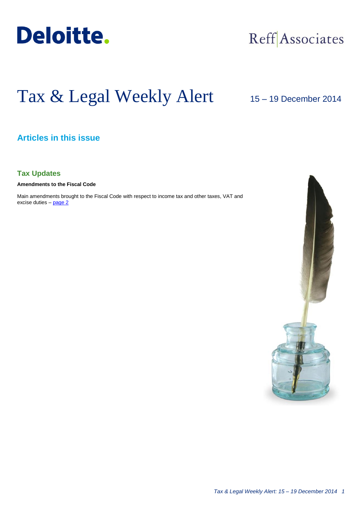

## Reff Associates

# Tax & Legal Weekly Alert

## 15 – 19 December 2014

## **Articles in this issue**

**Tax Updates**

**Amendments to the Fiscal Code**

Main amendments brought to the Fiscal Code with respect to income tax and other taxes, VAT and excise duties - [page 2](#page-1-0)

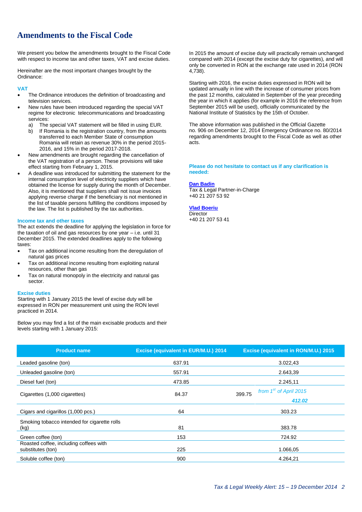### <span id="page-1-0"></span>**Amendments to the Fiscal Code**

We present you below the amendments brought to the Fiscal Code with respect to income tax and other taxes, VAT and excise duties.

Hereinafter are the most important changes brought by the Ordinance:

#### **VAT**

- The Ordinance introduces the definition of broadcasting and television services.
- New rules have been introduced regarding the special VAT regime for electronic telecommunications and broadcasting services:
	- a) The special VAT statement will be filled in using EUR.
	- b) If Romania is the registration country, from the amounts transferred to each Member State of consumption Romania will retain as revenue 30% in the period 2015- 2016, and 15% in the period 2017-2018.
- New amendments are brought regarding the cancellation of the VAT registration of a person. These provisions will take effect starting from February 1, 2015.
- A deadline was introduced for submitting the statement for the internal consumption level of electricity suppliers which have obtained the license for supply during the month of December. Also, it is mentioned that suppliers shall not issue invoices applying reverse charge if the beneficiary is not mentioned in the list of taxable persons fulfilling the conditions imposed by the law. The list is published by the tax authorities.

#### **Income tax and other taxes**

The act extends the deadline for applying the legislation in force for the taxation of oil and gas resources by one year – i.e. until 31 December 2015. The extended deadlines apply to the following taxes:

- Tax on additional income resulting from the deregulation of natural gas prices
- Tax on additional income resulting from exploiting natural resources, other than gas
- Tax on natural monopoly in the electricity and natural gas sector.

#### **Excise duties**

Starting with 1 January 2015 the level of excise duty will be expressed in RON per measurement unit using the RON level practiced in 2014.

Below you may find a list of the main excisable products and their levels starting with 1 January 2015:

In 2015 the amount of excise duty will practically remain unchanged compared with 2014 (except the excise duty for cigarettes), and will only be converted in RON at the exchange rate used in 2014 (RON 4,738).

Starting with 2016, the excise duties expressed in RON will be updated annually in line with the increase of consumer prices from the past 12 months, calculated in September of the year preceding the year in which it applies (for example in 2016 the reference from September 2015 will be used), officially communicated by the National Institute of Statistics by the 15th of October.

The above information was published in the Official Gazette no. 906 on December 12, 2014 Emergency Ordinance no. 80/2014 regarding amendments brought to the Fiscal Code as well as other acts.

#### **Please do not hesitate to contact us if any clarification is needed:**

#### **[Dan Badin](mailto:dbadin@deloittece.com)**

Tax & Legal Partner-in-Charge +40 21 207 53 92

#### **[Vlad Boeriu](mailto:vboeriu@deloittece.com)**

**Director** +40 21 207 53 41

| <b>Product name</b>                                         | <b>Excise (equivalent in EUR/M.U.) 2014</b> | Excise (equivalent in RON/M.U.) 2015 |
|-------------------------------------------------------------|---------------------------------------------|--------------------------------------|
| Leaded gasoline (ton)                                       | 637.91                                      | 3.022,43                             |
| Unleaded gasoline (ton)                                     | 557.91                                      | 2.643,39                             |
| Diesel fuel (ton)                                           | 473.85                                      | 2.245,11                             |
| Cigarettes (1,000 cigarettes)                               | 84.37                                       | from $1st$ of April 2015<br>399.75   |
|                                                             |                                             | 412.02                               |
| Cigars and cigarillos (1,000 pcs.)                          | 64                                          | 303.23                               |
| Smoking tobacco intended for cigarette rolls<br>(kg)        | 81                                          | 383.78                               |
| Green coffee (ton)                                          | 153                                         | 724.92                               |
| Roasted coffee, including coffees with<br>substitutes (ton) | 225                                         | 1.066,05                             |
| Soluble coffee (ton)                                        | 900                                         | 4.264,21                             |